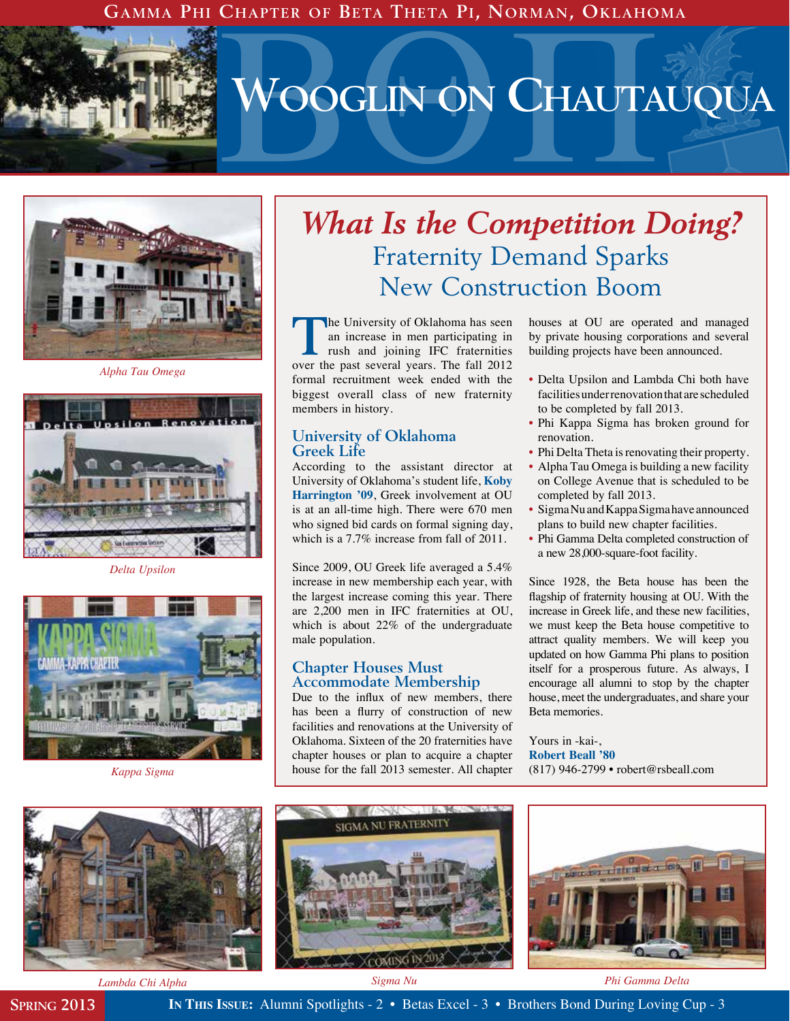**Gamma Phi Chapter of Beta Theta Pi, Norman, Oklahoma**



# BQP **Wooglin on Chautauqua**



*Alpha Tau Omega*



*Delta Upsilon*



*Kappa Sigma*

# *What Is the Competition Doing?* Fraternity Demand Sparks New Construction Boom

**The University of Oklahoma has seen<br>
an increase in men participating in<br>
rush and joining IFC fraternities<br>
over the past several vegre. The fell 2012** an increase in men participating in over the past several years. The fall 2012 formal recruitment week ended with the biggest overall class of new fraternity members in history.

#### **University of Oklahoma Greek Life**

According to the assistant director at University of Oklahoma's student life, **Koby Harrington '09**, Greek involvement at OU is at an all-time high. There were 670 men who signed bid cards on formal signing day, which is a 7.7% increase from fall of 2011.

Since 2009, OU Greek life averaged a 5.4% increase in new membership each year, with the largest increase coming this year. There are 2,200 men in IFC fraternities at OU, which is about 22% of the undergraduate male population.

#### **Chapter Houses Must Accommodate Membership**

Due to the influx of new members, there has been a flurry of construction of new facilities and renovations at the University of Oklahoma. Sixteen of the 20 fraternities have chapter houses or plan to acquire a chapter house for the fall 2013 semester. All chapter

houses at OU are operated and managed by private housing corporations and several building projects have been announced.

- Delta Upsilon and Lambda Chi both have facilities under renovation that are scheduled to be completed by fall 2013.
- Phi Kappa Sigma has broken ground for renovation.
- Phi Delta Theta is renovating their property.
- Alpha Tau Omega is building a new facility on College Avenue that is scheduled to be completed by fall 2013.
- Sigma Nu and Kappa Sigma have announced plans to build new chapter facilities.
- Phi Gamma Delta completed construction of a new 28,000-square-foot facility.

Since 1928, the Beta house has been the flagship of fraternity housing at OU. With the increase in Greek life, and these new facilities, we must keep the Beta house competitive to attract quality members. We will keep you updated on how Gamma Phi plans to position itself for a prosperous future. As always, I encourage all alumni to stop by the chapter house, meet the undergraduates, and share your Beta memories.

Yours in -kai-, **Robert Beall '80** (817) 946-2799 • robert@rsbeall.com



*Lambda Chi Alpha Sigma Nu*

*Phi Gamma Delta*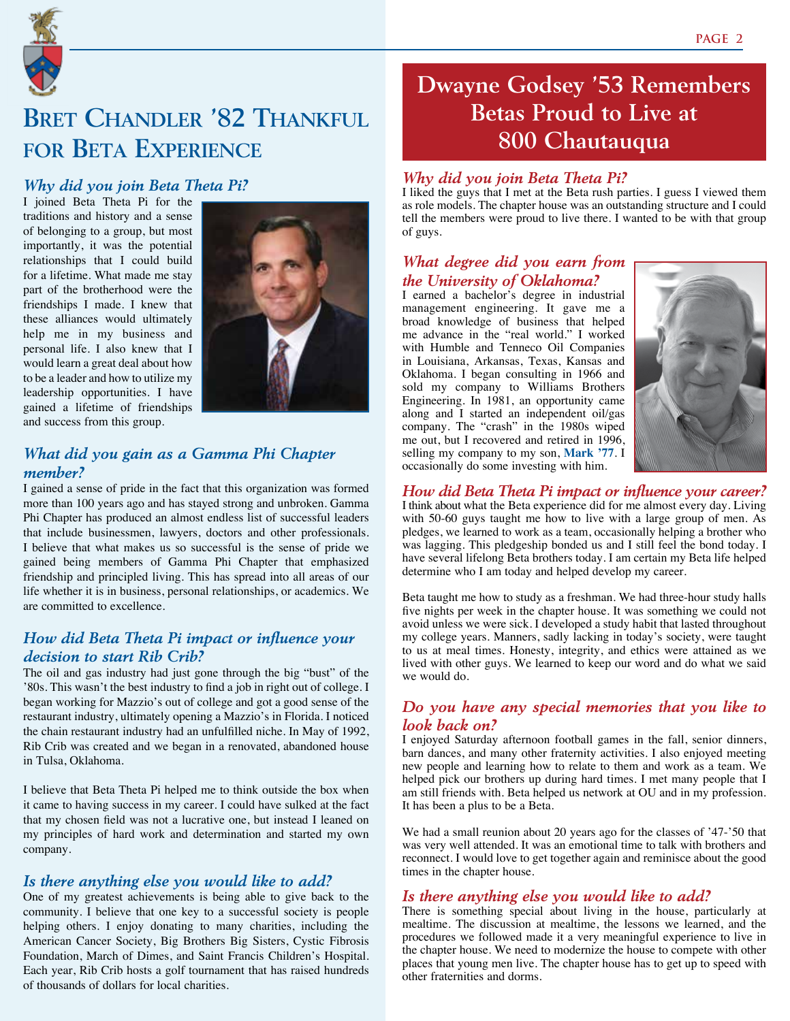

# **Bret Chandler '82 Thankful for Beta Experience**

#### *Why did you join Beta Theta Pi?*

I joined Beta Theta Pi for the traditions and history and a sense of belonging to a group, but most importantly, it was the potential relationships that I could build for a lifetime. What made me stay part of the brotherhood were the friendships I made. I knew that these alliances would ultimately help me in my business and personal life. I also knew that I would learn a great deal about how to be a leader and how to utilize my leadership opportunities. I have gained a lifetime of friendships and success from this group.



#### *What did you gain as a Gamma Phi Chapter member?*

I gained a sense of pride in the fact that this organization was formed more than 100 years ago and has stayed strong and unbroken. Gamma Phi Chapter has produced an almost endless list of successful leaders that include businessmen, lawyers, doctors and other professionals. I believe that what makes us so successful is the sense of pride we gained being members of Gamma Phi Chapter that emphasized friendship and principled living. This has spread into all areas of our life whether it is in business, personal relationships, or academics. We are committed to excellence.

#### *How did Beta Theta Pi impact or influence your decision to start Rib Crib?*

The oil and gas industry had just gone through the big "bust" of the '80s. This wasn't the best industry to find a job in right out of college. I began working for Mazzio's out of college and got a good sense of the restaurant industry, ultimately opening a Mazzio's in Florida. I noticed the chain restaurant industry had an unfulfilled niche. In May of 1992, Rib Crib was created and we began in a renovated, abandoned house in Tulsa, Oklahoma.

I believe that Beta Theta Pi helped me to think outside the box when it came to having success in my career. I could have sulked at the fact that my chosen field was not a lucrative one, but instead I leaned on my principles of hard work and determination and started my own company.

#### *Is there anything else you would like to add?*

One of my greatest achievements is being able to give back to the community. I believe that one key to a successful society is people helping others. I enjoy donating to many charities, including the American Cancer Society, Big Brothers Big Sisters, Cystic Fibrosis Foundation, March of Dimes, and Saint Francis Children's Hospital. Each year, Rib Crib hosts a golf tournament that has raised hundreds of thousands of dollars for local charities.

## **Dwayne Godsey '53 Remembers Betas Proud to Live at 800 Chautauqua**

#### *Why did you join Beta Theta Pi?*

I liked the guys that I met at the Beta rush parties. I guess I viewed them as role models. The chapter house was an outstanding structure and I could tell the members were proud to live there. I wanted to be with that group of guys.

#### *What degree did you earn from the University of Oklahoma?*

I earned a bachelor's degree in industrial management engineering. It gave me a broad knowledge of business that helped me advance in the "real world." I worked with Humble and Tenneco Oil Companies in Louisiana, Arkansas, Texas, Kansas and Oklahoma. I began consulting in 1966 and sold my company to Williams Brothers Engineering. In 1981, an opportunity came along and I started an independent oil/gas company. The "crash" in the 1980s wiped me out, but I recovered and retired in 1996, selling my company to my son, **Mark '77**. I occasionally do some investing with him.



*How did Beta Theta Pi impact or influence your career?*  I think about what the Beta experience did for me almost every day. Living with 50-60 guys taught me how to live with a large group of men. As pledges, we learned to work as a team, occasionally helping a brother who was lagging. This pledgeship bonded us and I still feel the bond today. I have several lifelong Beta brothers today. I am certain my Beta life helped determine who I am today and helped develop my career.

Beta taught me how to study as a freshman. We had three-hour study halls five nights per week in the chapter house. It was something we could not avoid unless we were sick. I developed a study habit that lasted throughout my college years. Manners, sadly lacking in today's society, were taught to us at meal times. Honesty, integrity, and ethics were attained as we lived with other guys. We learned to keep our word and do what we said we would do.

#### *Do you have any special memories that you like to look back on?*

I enjoyed Saturday afternoon football games in the fall, senior dinners, barn dances, and many other fraternity activities. I also enjoyed meeting new people and learning how to relate to them and work as a team. We helped pick our brothers up during hard times. I met many people that I am still friends with. Beta helped us network at OU and in my profession. It has been a plus to be a Beta.

We had a small reunion about 20 years ago for the classes of '47-'50 that was very well attended. It was an emotional time to talk with brothers and reconnect. I would love to get together again and reminisce about the good times in the chapter house.

#### *Is there anything else you would like to add?*

There is something special about living in the house, particularly at mealtime. The discussion at mealtime, the lessons we learned, and the procedures we followed made it a very meaningful experience to live in the chapter house. We need to modernize the house to compete with other places that young men live. The chapter house has to get up to speed with other fraternities and dorms.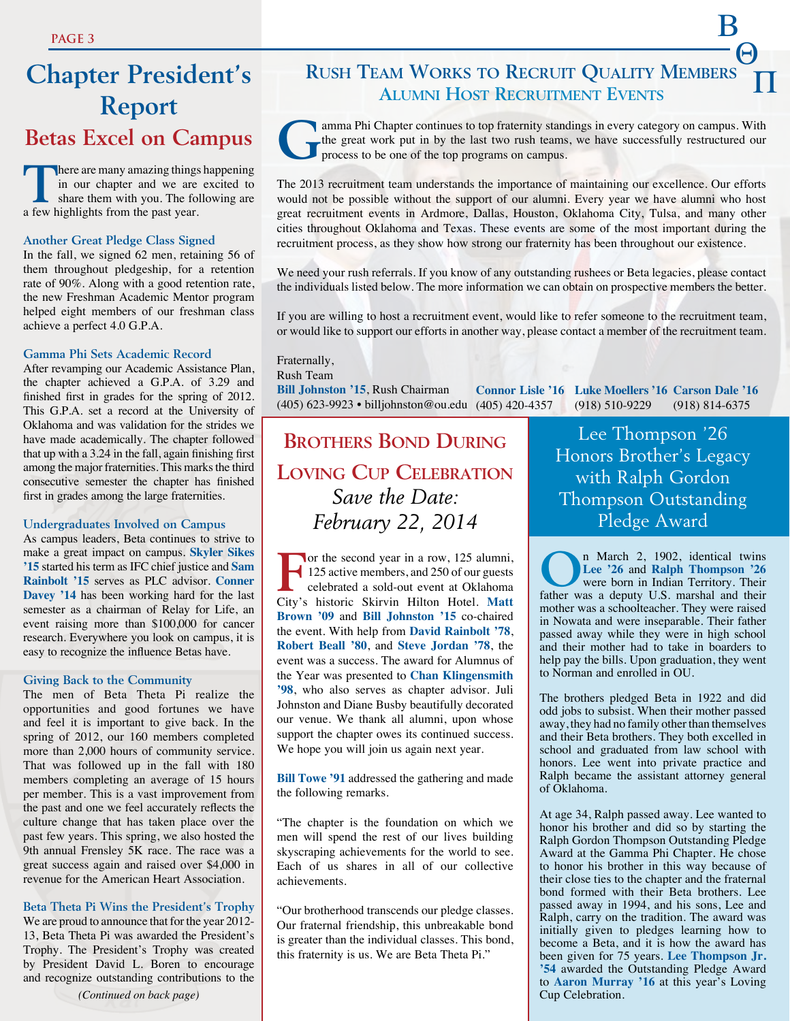# **Chapter President's Report Betas Excel on Campus**

**There are many amazing things happening**<br>
in our chapter and we are excited to<br>
share them with you. The following are<br>
a four bighlights from the street in our chapter and we are excited to a few highlights from the past year.

#### **Another Great Pledge Class Signed**

In the fall, we signed 62 men, retaining 56 of them throughout pledgeship, for a retention rate of 90%. Along with a good retention rate, the new Freshman Academic Mentor program helped eight members of our freshman class achieve a perfect 4.0 G.P.A.

#### **Gamma Phi Sets Academic Record**

After revamping our Academic Assistance Plan, the chapter achieved a G.P.A. of 3.29 and finished first in grades for the spring of 2012. This G.P.A. set a record at the University of Oklahoma and was validation for the strides we have made academically. The chapter followed that up with a 3.24 in the fall, again finishing first among the major fraternities. This marks the third consecutive semester the chapter has finished first in grades among the large fraternities.

#### **Undergraduates Involved on Campus**

As campus leaders, Beta continues to strive to make a great impact on campus. **Skyler Sikes '15** started his term as IFC chief justice and **Sam Rainbolt '15** serves as PLC advisor. **Conner Davey '14** has been working hard for the last semester as a chairman of Relay for Life, an event raising more than \$100,000 for cancer research. Everywhere you look on campus, it is easy to recognize the influence Betas have.

#### **Giving Back to the Community**

The men of Beta Theta Pi realize the opportunities and good fortunes we have and feel it is important to give back. In the spring of 2012, our 160 members completed more than 2,000 hours of community service. That was followed up in the fall with 180 members completing an average of 15 hours per member. This is a vast improvement from the past and one we feel accurately reflects the culture change that has taken place over the past few years. This spring, we also hosted the 9th annual Frensley 5K race. The race was a great success again and raised over \$4,000 in revenue for the American Heart Association.

#### **Beta Theta Pi Wins the President's Trophy**

We are proud to announce that for the year 2012- 13, Beta Theta Pi was awarded the President's Trophy. The President's Trophy was created by President David L. Boren to encourage and recognize outstanding contributions to the

### $^{-}$  $\Theta$  P **Rush Team Works to Recruit Quality Members Alumni Host Recruitment Events**



amma Phi Chapter continues to top fraternity standings in every category on campus. With the great work put in by the last two rush teams, we have successfully restructured our process to be one of the top programs on camp the great work put in by the last two rush teams, we have successfully restructured our process to be one of the top programs on campus.

The 2013 recruitment team understands the importance of maintaining our excellence. Our efforts would not be possible without the support of our alumni. Every year we have alumni who host great recruitment events in Ardmore, Dallas, Houston, Oklahoma City, Tulsa, and many other cities throughout Oklahoma and Texas. These events are some of the most important during the recruitment process, as they show how strong our fraternity has been throughout our existence.

We need your rush referrals. If you know of any outstanding rushees or Beta legacies, please contact the individuals listed below. The more information we can obtain on prospective members the better.

If you are willing to host a recruitment event, would like to refer someone to the recruitment team, or would like to support our efforts in another way, please contact a member of the recruitment team.

#### Fraternally,

Rush Team

**Bill Johnston '15**, Rush Chairman (405) 623-9923 • billjohnston@ou.edu (405) 420-4357 **Connor Lisle '16 Luke Moellers '16 Carson Dale '16** (918) 510-9229 (918) 814-6375

### **Brothers Bond During Loving Cup Celebration** *Save the Date: February 22, 2014*

For the second year in a row, 125 alumni,<br>125 active members, and 250 of our guests<br>celebrated a sold-out event at Oklahoma 125 active members, and 250 of our guests celebrated a sold-out event at Oklahoma City's historic Skirvin Hilton Hotel. **Matt Brown '09** and **Bill Johnston '15** co-chaired the event. With help from **David Rainbolt '78**, **Robert Beall '80**, and **Steve Jordan '78**, the event was a success. The award for Alumnus of the Year was presented to **Chan Klingensmith '98**, who also serves as chapter advisor. Juli Johnston and Diane Busby beautifully decorated our venue. We thank all alumni, upon whose support the chapter owes its continued success. We hope you will join us again next year.

**Bill Towe '91** addressed the gathering and made the following remarks.

"The chapter is the foundation on which we men will spend the rest of our lives building skyscraping achievements for the world to see. Each of us shares in all of our collective achievements.

"Our brotherhood transcends our pledge classes. Our fraternal friendship, this unbreakable bond is greater than the individual classes. This bond, this fraternity is us. We are Beta Theta Pi."

Lee Thompson '26 Honors Brother's Legacy with Ralph Gordon Thompson Outstanding Pledge Award

**O**n March 2, 1902, identical twins<br>
Lee '26 and Ralph Thompson '26<br>
were born in Indian Territory. Their **Lee '26** and **Ralph Thompson '26** were born in Indian Territory. Their father was a deputy U.S. marshal and their mother was a schoolteacher. They were raised in Nowata and were inseparable. Their father passed away while they were in high school and their mother had to take in boarders to help pay the bills. Upon graduation, they went to Norman and enrolled in OU.

The brothers pledged Beta in 1922 and did odd jobs to subsist. When their mother passed away, they had no family other than themselves and their Beta brothers. They both excelled in school and graduated from law school with honors. Lee went into private practice and Ralph became the assistant attorney general of Oklahoma.

At age 34, Ralph passed away. Lee wanted to honor his brother and did so by starting the Ralph Gordon Thompson Outstanding Pledge Award at the Gamma Phi Chapter. He chose to honor his brother in this way because of their close ties to the chapter and the fraternal bond formed with their Beta brothers. Lee passed away in 1994, and his sons, Lee and Ralph, carry on the tradition. The award was initially given to pledges learning how to become a Beta, and it is how the award has been given for 75 years. **Lee Thompson Jr. '54** awarded the Outstanding Pledge Award to **Aaron Murray '16** at this year's Loving Cup Celebration.